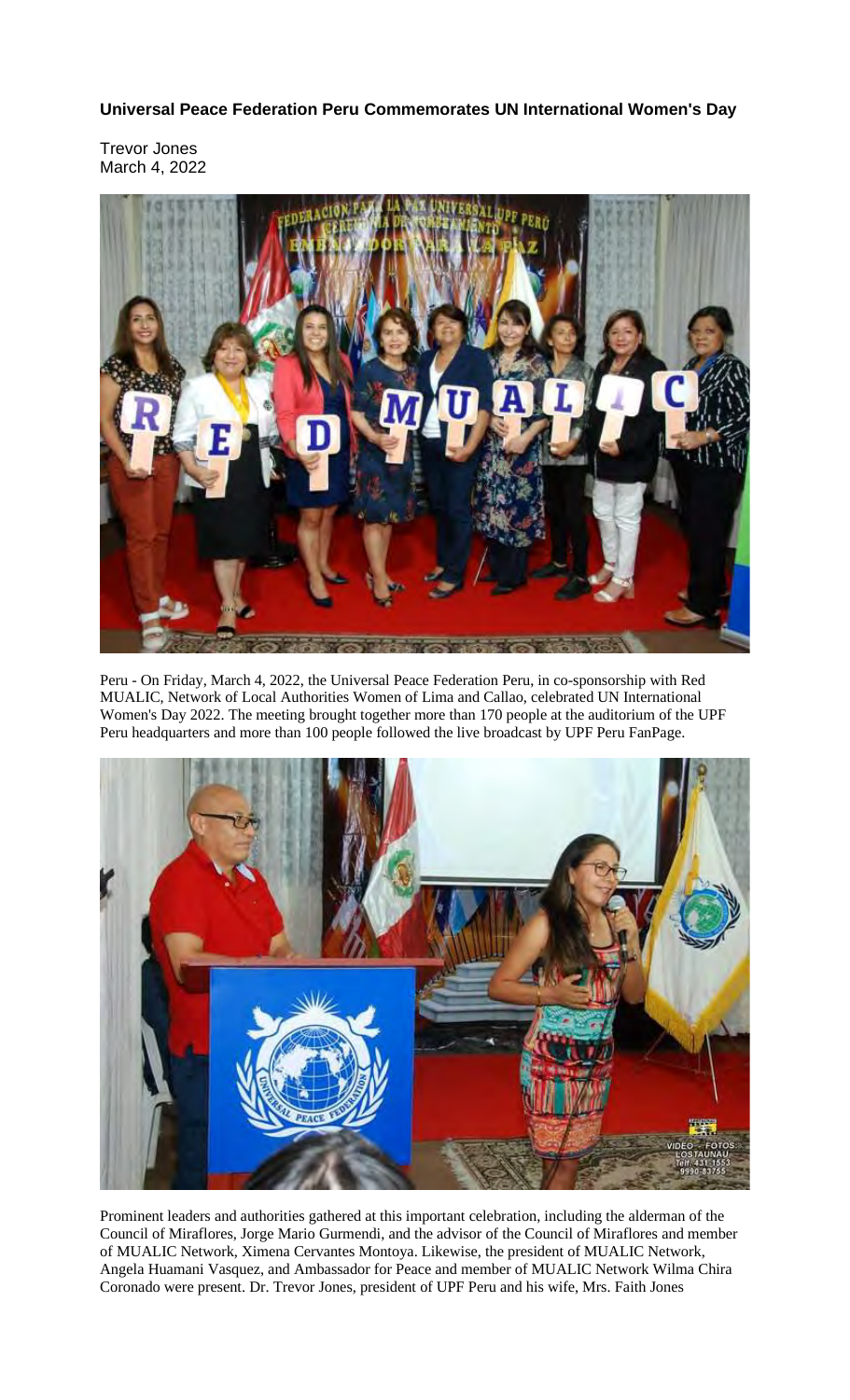**Universal Peace Federation Peru Commemorates UN International Women's Day**

Trevor Jones March 4, 2022



Peru - On Friday, March 4, 2022, the Universal Peace Federation Peru, in co-sponsorship with Red MUALIC, Network of Local Authorities Women of Lima and Callao, celebrated UN International Women's Day 2022. The meeting brought together more than 170 people at the auditorium of the UPF Peru headquarters and more than 100 people followed the live broadcast by UPF Peru FanPage.



Prominent leaders and authorities gathered at this important celebration, including the alderman of the Council of Miraflores, Jorge Mario Gurmendi, and the advisor of the Council of Miraflores and member of MUALIC Network, Ximena Cervantes Montoya. Likewise, the president of MUALIC Network, Angela Huamani Vasquez, and Ambassador for Peace and member of MUALIC Network Wilma Chira Coronado were present. Dr. Trevor Jones, president of UPF Peru and his wife, Mrs. Faith Jones